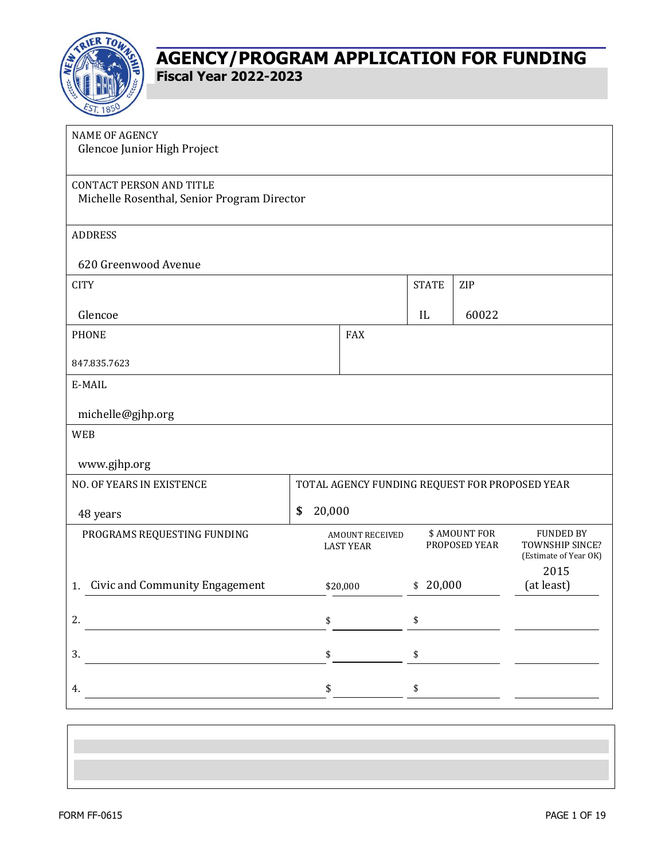

| <b>NAME OF AGENCY</b><br>Glencoe Junior High Project                           |               |                                                |                                      |     |                                                                      |
|--------------------------------------------------------------------------------|---------------|------------------------------------------------|--------------------------------------|-----|----------------------------------------------------------------------|
| <b>CONTACT PERSON AND TITLE</b><br>Michelle Rosenthal, Senior Program Director |               |                                                |                                      |     |                                                                      |
| <b>ADDRESS</b>                                                                 |               |                                                |                                      |     |                                                                      |
| 620 Greenwood Avenue                                                           |               |                                                |                                      |     |                                                                      |
| <b>CITY</b>                                                                    |               |                                                | <b>STATE</b>                         | ZIP |                                                                      |
| Glencoe                                                                        |               | IL                                             | 60022                                |     |                                                                      |
| <b>PHONE</b>                                                                   |               | <b>FAX</b>                                     |                                      |     |                                                                      |
| 847.835.7623                                                                   |               |                                                |                                      |     |                                                                      |
| E-MAIL                                                                         |               |                                                |                                      |     |                                                                      |
| michelle@gjhp.org                                                              |               |                                                |                                      |     |                                                                      |
| <b>WEB</b>                                                                     |               |                                                |                                      |     |                                                                      |
| www.gjhp.org                                                                   |               |                                                |                                      |     |                                                                      |
| NO. OF YEARS IN EXISTENCE                                                      |               | TOTAL AGENCY FUNDING REQUEST FOR PROPOSED YEAR |                                      |     |                                                                      |
| 48 years                                                                       | 20,000<br>\$  |                                                |                                      |     |                                                                      |
| PROGRAMS REQUESTING FUNDING                                                    |               | <b>AMOUNT RECEIVED</b><br><b>LAST YEAR</b>     | <b>\$AMOUNT FOR</b><br>PROPOSED YEAR |     | <b>FUNDED BY</b><br>TOWNSHIP SINCE?<br>(Estimate of Year OK)<br>2015 |
| <b>Civic and Community Engagement</b><br>1.                                    |               | \$20,000                                       | \$20,000                             |     | (at least)                                                           |
| 2.                                                                             | \$            |                                                | \$                                   |     |                                                                      |
| 3.                                                                             |               | $\sim$                                         | $\pmb{\mathbb{S}}$                   |     |                                                                      |
| 4.                                                                             | $\frac{1}{2}$ |                                                | $\int$                               |     |                                                                      |
|                                                                                |               |                                                |                                      |     |                                                                      |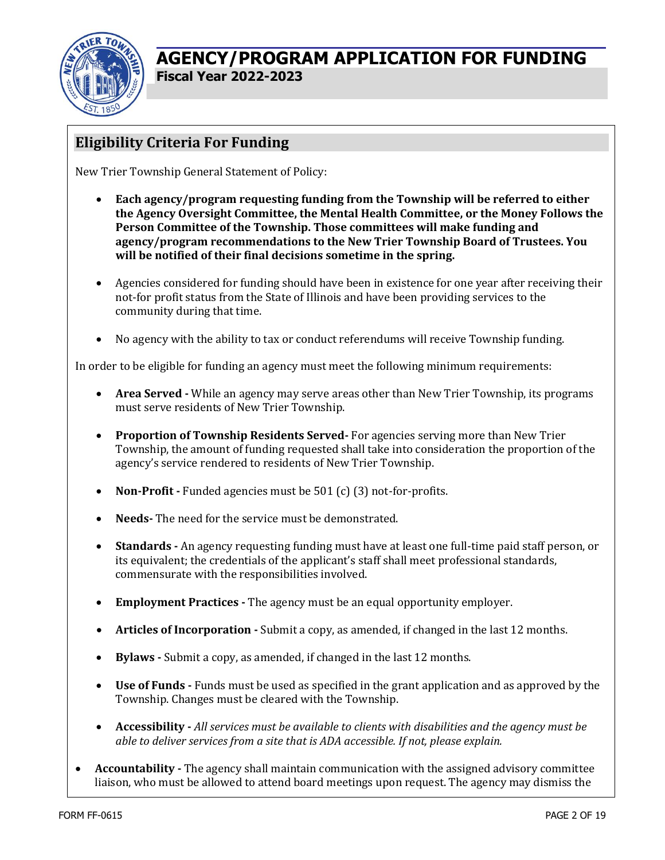

### **Eligibility Criteria For Funding**

New Trier Township General Statement of Policy:

- **Each agency/program requesting funding from the Township will be referred to either the Agency Oversight Committee, the Mental Health Committee, or the Money Follows the Person Committee of the Township. Those committees will make funding and agency/program recommendations to the New Trier Township Board of Trustees. You will be notified of their final decisions sometime in the spring.**
- Agencies considered for funding should have been in existence for one year after receiving their not-for profit status from the State of Illinois and have been providing services to the community during that time.
- No agency with the ability to tax or conduct referendums will receive Township funding.

In order to be eligible for funding an agency must meet the following minimum requirements:

- **Area Served -** While an agency may serve areas other than New Trier Township, its programs must serve residents of New Trier Township.
- **Proportion of Township Residents Served-** For agencies serving more than New Trier Township, the amount of funding requested shall take into consideration the proportion of the agency's service rendered to residents of New Trier Township.
- **Non-Profit -** Funded agencies must be 501 (c) (3) not-for-profits.
- **Needs-** The need for the service must be demonstrated.
- **Standards -** An agency requesting funding must have at least one full-time paid staff person, or its equivalent; the credentials of the applicant's staff shall meet professional standards, commensurate with the responsibilities involved.
- **Employment Practices -** The agency must be an equal opportunity employer.
- **Articles of Incorporation -** Submit a copy, as amended, if changed in the last 12 months.
- **Bylaws -** Submit a copy, as amended, if changed in the last 12 months.
- **Use of Funds -** Funds must be used as specified in the grant application and as approved by the Township. Changes must be cleared with the Township.
- **Accessibility -** *All services must be available to clients with disabilities and the agency must be able to deliver services from a site that is ADA accessible. If not, please explain.*
- **Accountability -** The agency shall maintain communication with the assigned advisory committee liaison, who must be allowed to attend board meetings upon request. The agency may dismiss the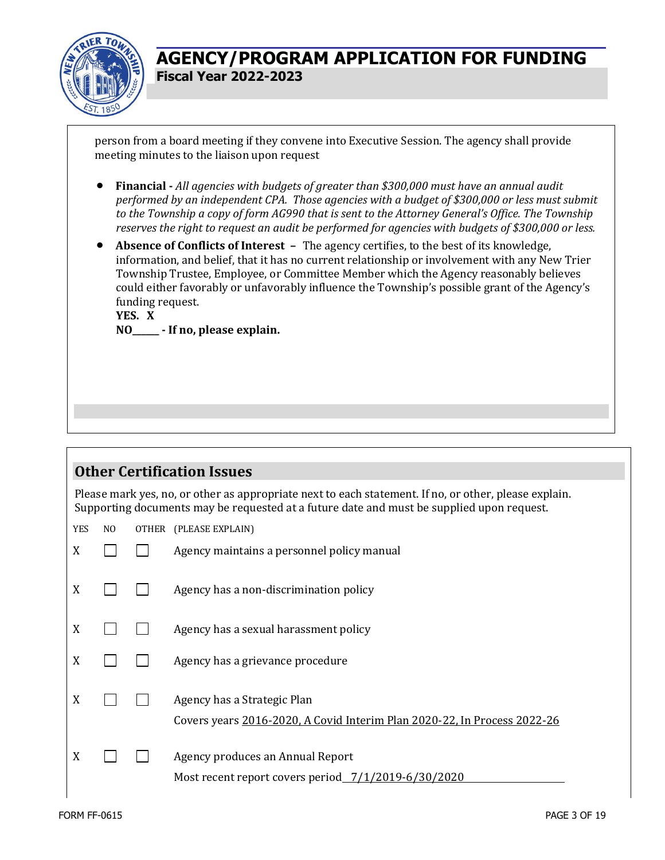

person from a board meeting if they convene into Executive Session. The agency shall provide meeting minutes to the liaison upon request

- **Financial -** *All agencies with budgets of greater than \$300,000 must have an annual audit performed by an independent CPA. Those agencies with a budget of \$300,000 or less must submit to the Township a copy of form AG990 that is sent to the Attorney General's Office. The Township reserves the right to request an audit be performed for agencies with budgets of \$300,000 or less.*
- **Absence of Conflicts of Interest –** The agency certifies, to the best of its knowledge, information, and belief, that it has no current relationship or involvement with any New Trier Township Trustee, Employee, or Committee Member which the Agency reasonably believes could either favorably or unfavorably influence the Township's possible grant of the Agency's funding request.

**YES. X NO\_\_\_\_\_\_ - If no, please explain.**

### **Other Certification Issues**

Please mark yes, no, or other as appropriate next to each statement. If no, or other, please explain. Supporting documents may be requested at a future date and must be supplied upon request.

YES NO OTHER (PLEASE EXPLAIN)

| X |  | Agency maintains a personnel policy manual                                                              |
|---|--|---------------------------------------------------------------------------------------------------------|
| X |  | Agency has a non-discrimination policy                                                                  |
| X |  | Agency has a sexual harassment policy                                                                   |
| X |  | Agency has a grievance procedure                                                                        |
| X |  | Agency has a Strategic Plan<br>Covers years 2016-2020, A Covid Interim Plan 2020-22, In Process 2022-26 |
| X |  | Agency produces an Annual Report<br>Most recent report covers period _7/1/2019-6/30/2020                |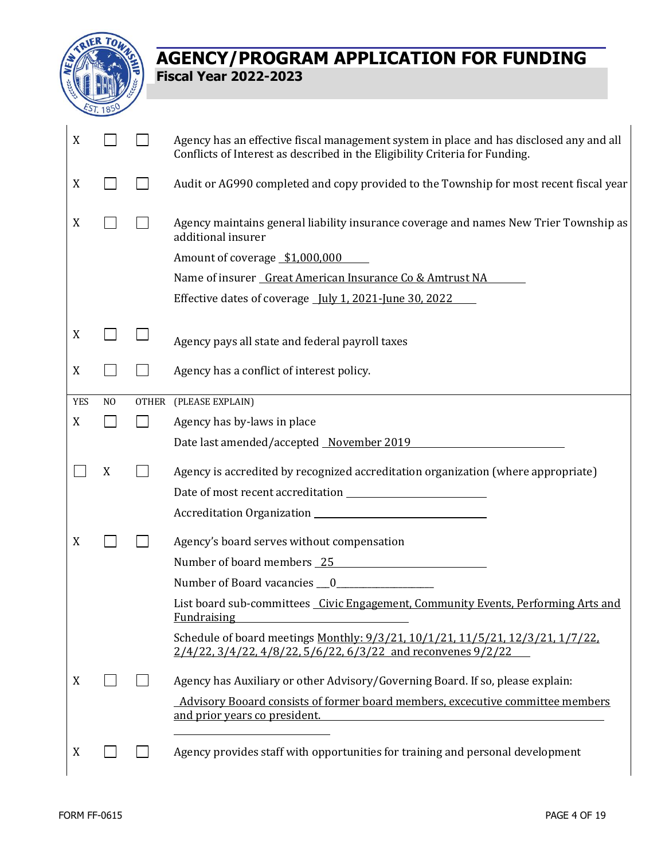

| X          |                | Agency has an effective fiscal management system in place and has disclosed any and all<br>Conflicts of Interest as described in the Eligibility Criteria for Funding. |
|------------|----------------|------------------------------------------------------------------------------------------------------------------------------------------------------------------------|
| X          |                | Audit or AG990 completed and copy provided to the Township for most recent fiscal year                                                                                 |
| X          |                | Agency maintains general liability insurance coverage and names New Trier Township as<br>additional insurer                                                            |
|            |                | Amount of coverage \$1,000,000                                                                                                                                         |
|            |                | Name of insurer Great American Insurance Co & Amtrust NA                                                                                                               |
|            |                | Effective dates of coverage <u>July 1, 2021-June 30, 2022</u>                                                                                                          |
| X<br>X     |                | Agency pays all state and federal payroll taxes<br>Agency has a conflict of interest policy.                                                                           |
|            |                |                                                                                                                                                                        |
| <b>YES</b> | N <sub>0</sub> | OTHER (PLEASE EXPLAIN)                                                                                                                                                 |
| X          |                | Agency has by-laws in place                                                                                                                                            |
|            |                | Date last amended/accepted November 2019                                                                                                                               |
|            | X              | Agency is accredited by recognized accreditation organization (where appropriate)                                                                                      |
|            |                |                                                                                                                                                                        |
|            |                |                                                                                                                                                                        |
| X          |                | Agency's board serves without compensation                                                                                                                             |
|            |                | Number of board members 25                                                                                                                                             |
|            |                | Number of Board vacancies 0                                                                                                                                            |
|            |                | List board sub-committees Civic Engagement, Community Events, Performing Arts and<br><b>Fundraising</b>                                                                |
|            |                | Schedule of board meetings Monthly: 9/3/21, 10/1/21, 11/5/21, 12/3/21, 1/7/22,<br>$2/4/22$ , $3/4/22$ , $4/8/22$ , $5/6/22$ , $6/3/22$ and reconvenes $9/2/22$         |
| X          |                | Agency has Auxiliary or other Advisory/Governing Board. If so, please explain:                                                                                         |
|            |                | Advisory Booard consists of former board members, excecutive committee members<br>and prior years co president.                                                        |
| X          |                | Agency provides staff with opportunities for training and personal development                                                                                         |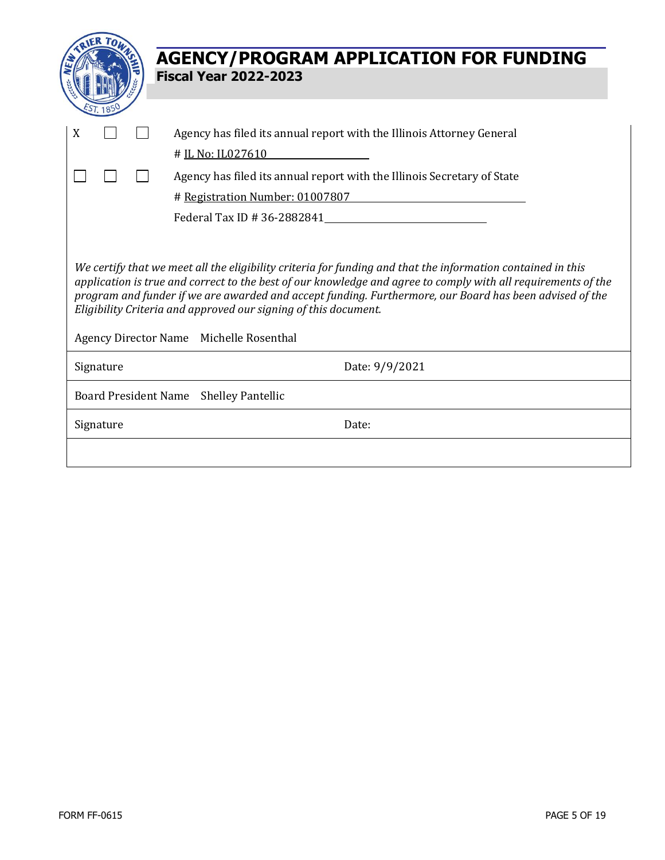|                                                                                                                                                                                                                                                                                                                                                                                                                                                       | <b>AGENCY/PROGRAM APPLICATION FOR FUNDING</b><br><b>Fiscal Year 2022-2023</b>                                                                                                                            |  |  |  |  |
|-------------------------------------------------------------------------------------------------------------------------------------------------------------------------------------------------------------------------------------------------------------------------------------------------------------------------------------------------------------------------------------------------------------------------------------------------------|----------------------------------------------------------------------------------------------------------------------------------------------------------------------------------------------------------|--|--|--|--|
| X                                                                                                                                                                                                                                                                                                                                                                                                                                                     | Agency has filed its annual report with the Illinois Attorney General<br># IL No: IL027610<br>Agency has filed its annual report with the Illinois Secretary of State<br># Registration Number: 01007807 |  |  |  |  |
| We certify that we meet all the eligibility criteria for funding and that the information contained in this<br>application is true and correct to the best of our knowledge and agree to comply with all requirements of the<br>program and funder if we are awarded and accept funding. Furthermore, our Board has been advised of the<br>Eligibility Criteria and approved our signing of this document.<br>Agency Director Name Michelle Rosenthal |                                                                                                                                                                                                          |  |  |  |  |
| Signature                                                                                                                                                                                                                                                                                                                                                                                                                                             | Date: 9/9/2021                                                                                                                                                                                           |  |  |  |  |
| Board President Name Shelley Pantellic                                                                                                                                                                                                                                                                                                                                                                                                                |                                                                                                                                                                                                          |  |  |  |  |
| Signature                                                                                                                                                                                                                                                                                                                                                                                                                                             | Date:                                                                                                                                                                                                    |  |  |  |  |
|                                                                                                                                                                                                                                                                                                                                                                                                                                                       |                                                                                                                                                                                                          |  |  |  |  |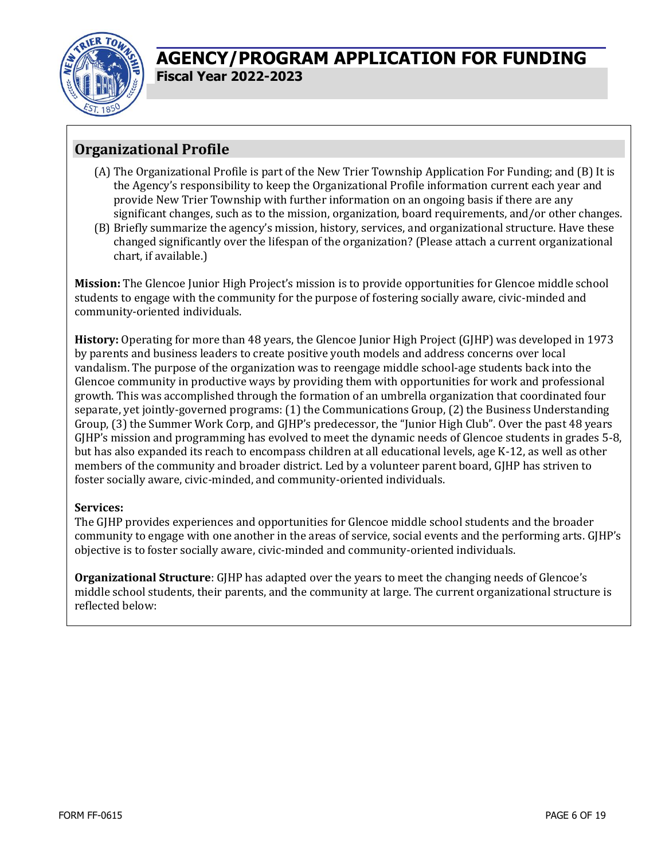

### **Organizational Profile**

- (A) The Organizational Profile is part of the New Trier Township Application For Funding; and (B) It is the Agency's responsibility to keep the Organizational Profile information current each year and provide New Trier Township with further information on an ongoing basis if there are any significant changes, such as to the mission, organization, board requirements, and/or other changes.
- (B) Briefly summarize the agency's mission, history, services, and organizational structure. Have these changed significantly over the lifespan of the organization? (Please attach a current organizational chart, if available.)

**Mission:** The Glencoe Junior High Project's mission is to provide opportunities for Glencoe middle school students to engage with the community for the purpose of fostering socially aware, civic-minded and community-oriented individuals.

**History:** Operating for more than 48 years, the Glencoe Junior High Project (GJHP) was developed in 1973 by parents and business leaders to create positive youth models and address concerns over local vandalism. The purpose of the organization was to reengage middle school-age students back into the Glencoe community in productive ways by providing them with opportunities for work and professional growth. This was accomplished through the formation of an umbrella organization that coordinated four separate, yet jointly-governed programs: (1) the Communications Group, (2) the Business Understanding Group, (3) the Summer Work Corp, and GJHP's predecessor, the "Junior High Club". Over the past 48 years GJHP's mission and programming has evolved to meet the dynamic needs of Glencoe students in grades 5-8, but has also expanded its reach to encompass children at all educational levels, age K-12, as well as other members of the community and broader district. Led by a volunteer parent board, GJHP has striven to foster socially aware, civic-minded, and community-oriented individuals.

### **Services:**

The GJHP provides experiences and opportunities for Glencoe middle school students and the broader community to engage with one another in the areas of service, social events and the performing arts. GJHP's objective is to foster socially aware, civic-minded and community-oriented individuals.

**Organizational Structure**: GJHP has adapted over the years to meet the changing needs of Glencoe's middle school students, their parents, and the community at large. The current organizational structure is reflected below: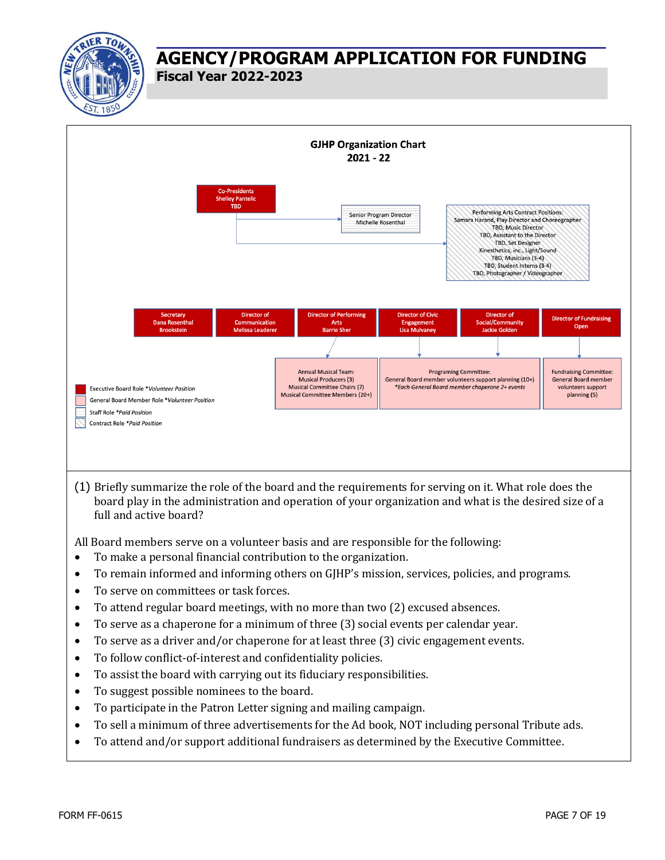



(1) Briefly summarize the role of the board and the requirements for serving on it. What role does the board play in the administration and operation of your organization and what is the desired size of a full and active board?

All Board members serve on a volunteer basis and are responsible for the following:

- To make a personal financial contribution to the organization.
- To remain informed and informing others on GJHP's mission, services, policies, and programs.
- To serve on committees or task forces.
- To attend regular board meetings, with no more than two (2) excused absences.
- To serve as a chaperone for a minimum of three (3) social events per calendar year.
- To serve as a driver and/or chaperone for at least three (3) civic engagement events.
- To follow conflict-of-interest and confidentiality policies.
- To assist the board with carrying out its fiduciary responsibilities.
- To suggest possible nominees to the board.
- To participate in the Patron Letter signing and mailing campaign.
- To sell a minimum of three advertisements for the Ad book, NOT including personal Tribute ads.
- To attend and/or support additional fundraisers as determined by the Executive Committee.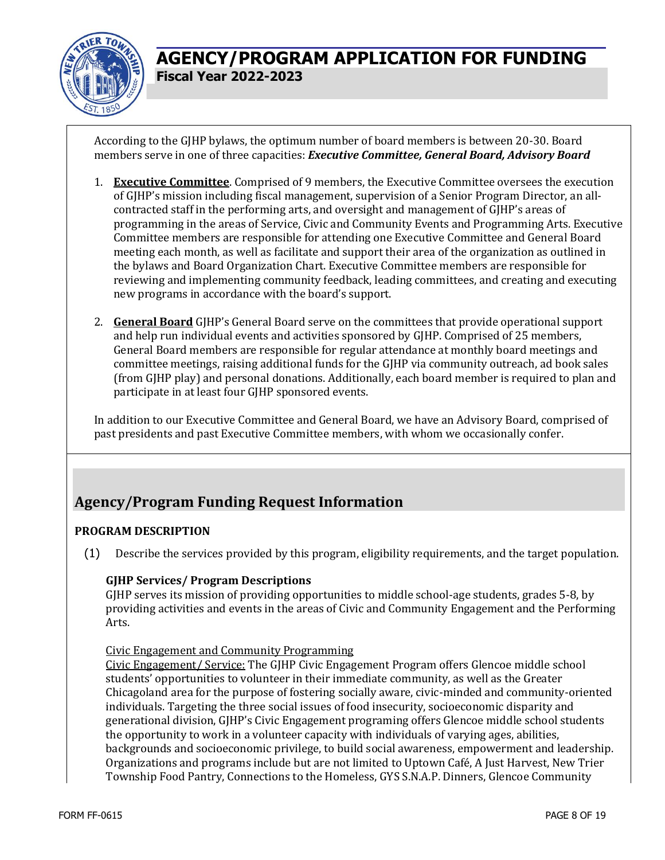

According to the GJHP bylaws, the optimum number of board members is between 20-30. Board members serve in one of three capacities: *Executive Committee, General Board, Advisory Board*

- 1. **Executive Committee**. Comprised of 9 members, the Executive Committee oversees the execution of GJHP's mission including fiscal management, supervision of a Senior Program Director, an allcontracted staff in the performing arts, and oversight and management of GJHP's areas of programming in the areas of Service, Civic and Community Events and Programming Arts. Executive Committee members are responsible for attending one Executive Committee and General Board meeting each month, as well as facilitate and support their area of the organization as outlined in the bylaws and Board Organization Chart. Executive Committee members are responsible for reviewing and implementing community feedback, leading committees, and creating and executing new programs in accordance with the board's support.
- 2. **General Board** GJHP's General Board serve on the committees that provide operational support and help run individual events and activities sponsored by GJHP. Comprised of 25 members, General Board members are responsible for regular attendance at monthly board meetings and committee meetings, raising additional funds for the GJHP via community outreach, ad book sales (from GJHP play) and personal donations. Additionally, each board member is required to plan and participate in at least four GJHP sponsored events.

In addition to our Executive Committee and General Board, we have an Advisory Board, comprised of past presidents and past Executive Committee members, with whom we occasionally confer.

### **Agency/Program Funding Request Information**

### **PROGRAM DESCRIPTION**

(1) Describe the services provided by this program, eligibility requirements, and the target population.

#### **GJHP Services/ Program Descriptions**

GJHP serves its mission of providing opportunities to middle school-age students, grades 5-8, by providing activities and events in the areas of Civic and Community Engagement and the Performing Arts.

#### Civic Engagement and Community Programming

Civic Engagement/ Service: The GJHP Civic Engagement Program offers Glencoe middle school students' opportunities to volunteer in their immediate community, as well as the Greater Chicagoland area for the purpose of fostering socially aware, civic-minded and community-oriented individuals. Targeting the three social issues of food insecurity, socioeconomic disparity and generational division, GJHP's Civic Engagement programing offers Glencoe middle school students the opportunity to work in a volunteer capacity with individuals of varying ages, abilities, backgrounds and socioeconomic privilege, to build social awareness, empowerment and leadership. Organizations and programs include but are not limited to Uptown Café, A Just Harvest, New Trier Township Food Pantry, Connections to the Homeless, GYS S.N.A.P. Dinners, Glencoe Community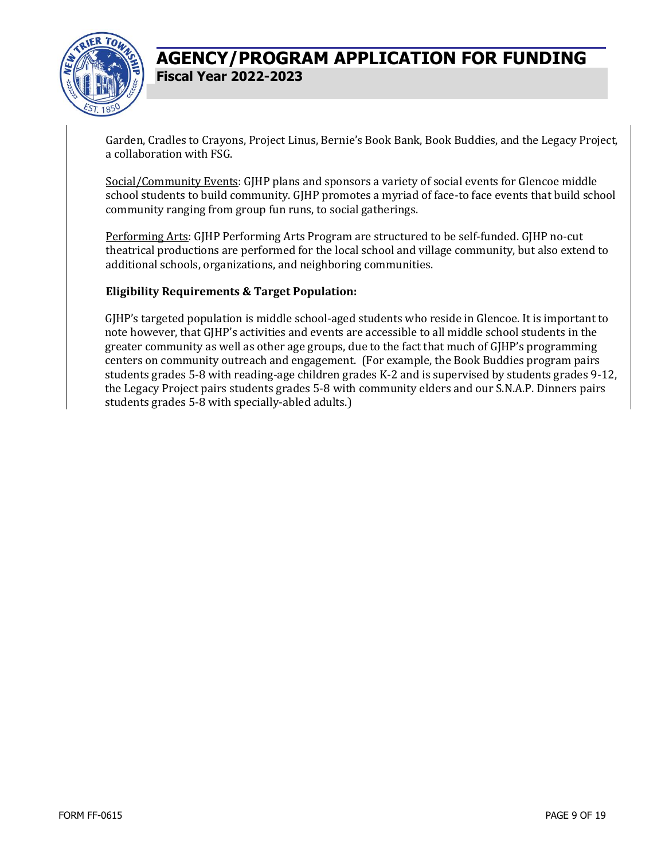

Garden, Cradles to Crayons, Project Linus, Bernie's Book Bank, Book Buddies, and the Legacy Project, a collaboration with FSG.

Social/Community Events: GJHP plans and sponsors a variety of social events for Glencoe middle school students to build community. GJHP promotes a myriad of face-to face events that build school community ranging from group fun runs, to social gatherings.

Performing Arts: GJHP Performing Arts Program are structured to be self-funded. GJHP no-cut theatrical productions are performed for the local school and village community, but also extend to additional schools, organizations, and neighboring communities.

### **Eligibility Requirements & Target Population:**

GJHP's targeted population is middle school-aged students who reside in Glencoe. It is important to note however, that GJHP's activities and events are accessible to all middle school students in the greater community as well as other age groups, due to the fact that much of GJHP's programming centers on community outreach and engagement. (For example, the Book Buddies program pairs students grades 5-8 with reading-age children grades K-2 and is supervised by students grades 9-12, the Legacy Project pairs students grades 5-8 with community elders and our S.N.A.P. Dinners pairs students grades 5-8 with specially-abled adults.)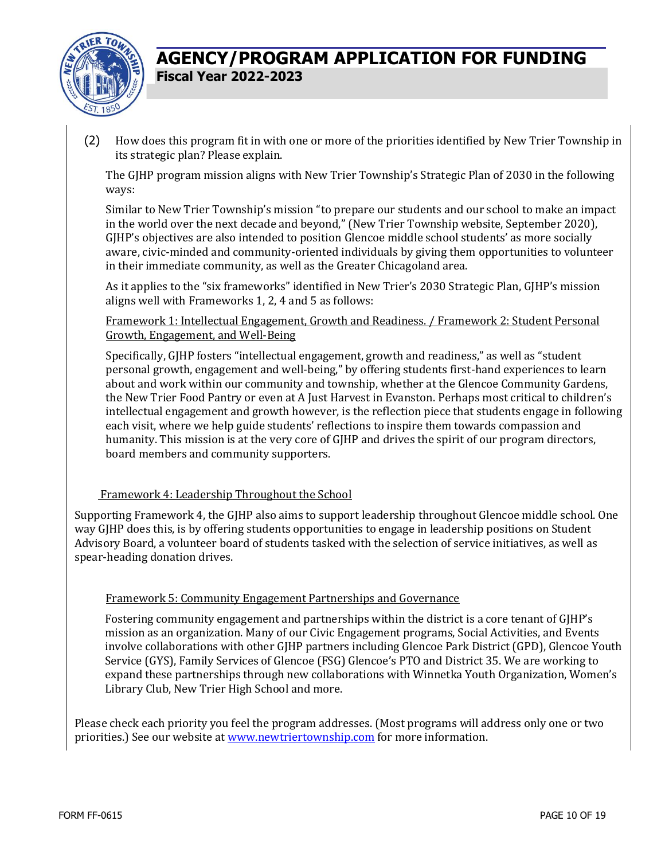

(2) How does this program fit in with one or more of the priorities identified by New Trier Township in its strategic plan? Please explain.

The GJHP program mission aligns with New Trier Township's Strategic Plan of 2030 in the following ways:

Similar to New Trier Township's mission "to prepare our students and our school to make an impact in the world over the next decade and beyond," (New Trier Township website, September 2020), GJHP's objectives are also intended to position Glencoe middle school students' as more socially aware, civic-minded and community-oriented individuals by giving them opportunities to volunteer in their immediate community, as well as the Greater Chicagoland area.

As it applies to the "six frameworks" identified in New Trier's 2030 Strategic Plan, GJHP's mission aligns well with Frameworks 1, 2, 4 and 5 as follows:

Framework 1: Intellectual Engagement, Growth and Readiness. / Framework 2: Student Personal Growth, Engagement, and Well-Being

Specifically, GJHP fosters "intellectual engagement, growth and readiness," as well as "student personal growth, engagement and well-being," by offering students first-hand experiences to learn about and work within our community and township, whether at the Glencoe Community Gardens, the New Trier Food Pantry or even at A Just Harvest in Evanston. Perhaps most critical to children's intellectual engagement and growth however, is the reflection piece that students engage in following each visit, where we help guide students' reflections to inspire them towards compassion and humanity. This mission is at the very core of GJHP and drives the spirit of our program directors, board members and community supporters.

#### Framework 4: Leadership Throughout the School

Supporting Framework 4, the GJHP also aims to support leadership throughout Glencoe middle school. One way GJHP does this, is by offering students opportunities to engage in leadership positions on Student Advisory Board, a volunteer board of students tasked with the selection of service initiatives, as well as spear-heading donation drives.

#### Framework 5: Community Engagement Partnerships and Governance

Fostering community engagement and partnerships within the district is a core tenant of GJHP's mission as an organization. Many of our Civic Engagement programs, Social Activities, and Events involve collaborations with other GJHP partners including Glencoe Park District (GPD), Glencoe Youth Service (GYS), Family Services of Glencoe (FSG) Glencoe's PTO and District 35. We are working to expand these partnerships through new collaborations with Winnetka Youth Organization, Women's Library Club, New Trier High School and more.

Please check each priority you feel the program addresses. (Most programs will address only one or two priorities.) See our website at [www.newtriertownship.com](http://www.newtriertownship.com/) for more information.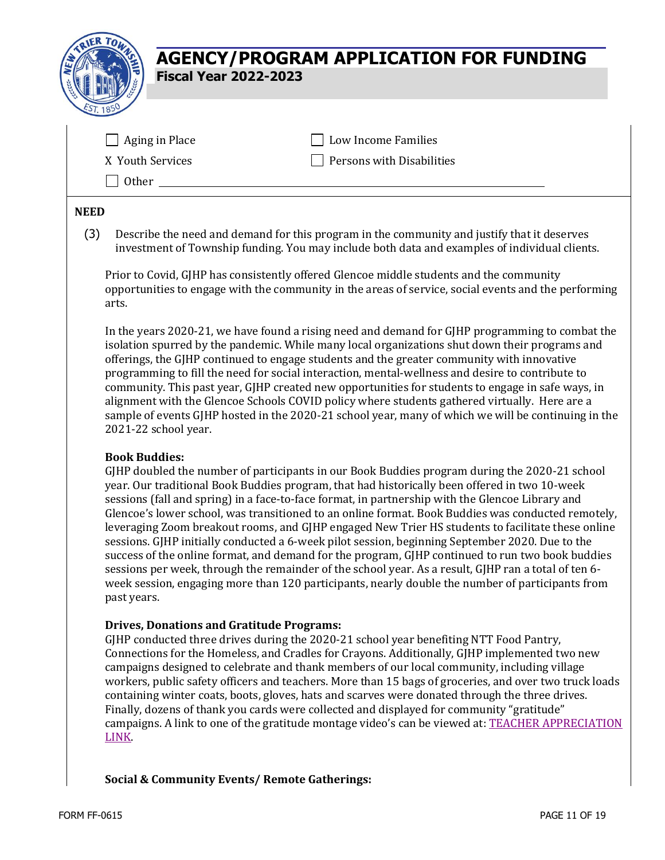

| Aging in Place   | <b>Low Income Families</b> |
|------------------|----------------------------|
| X Youth Services | Persons with Disabilities  |
| <b>Other</b>     |                            |

#### **NEED**

(3) Describe the need and demand for this program in the community and justify that it deserves investment of Township funding. You may include both data and examples of individual clients.

Prior to Covid, GJHP has consistently offered Glencoe middle students and the community opportunities to engage with the community in the areas of service, social events and the performing arts.

In the years 2020-21, we have found a rising need and demand for GJHP programming to combat the isolation spurred by the pandemic. While many local organizations shut down their programs and offerings, the GJHP continued to engage students and the greater community with innovative programming to fill the need for social interaction, mental-wellness and desire to contribute to community. This past year, GJHP created new opportunities for students to engage in safe ways, in alignment with the Glencoe Schools COVID policy where students gathered virtually. Here are a sample of events GJHP hosted in the 2020-21 school year, many of which we will be continuing in the 2021-22 school year.

#### **Book Buddies:**

GJHP doubled the number of participants in our Book Buddies program during the 2020-21 school year. Our traditional Book Buddies program, that had historically been offered in two 10-week sessions (fall and spring) in a face-to-face format, in partnership with the Glencoe Library and Glencoe's lower school, was transitioned to an online format. Book Buddies was conducted remotely, leveraging Zoom breakout rooms, and GJHP engaged New Trier HS students to facilitate these online sessions. GJHP initially conducted a 6-week pilot session, beginning September 2020. Due to the success of the online format, and demand for the program, GJHP continued to run two book buddies sessions per week, through the remainder of the school year. As a result, GJHP ran a total of ten 6 week session, engaging more than 120 participants, nearly double the number of participants from past years.

#### **Drives, Donations and Gratitude Programs:**

GJHP conducted three drives during the 2020-21 school year benefiting NTT Food Pantry, Connections for the Homeless, and Cradles for Crayons. Additionally, GJHP implemented two new campaigns designed to celebrate and thank members of our local community, including village workers, public safety officers and teachers. More than 15 bags of groceries, and over two truck loads containing winter coats, boots, gloves, hats and scarves were donated through the three drives. Finally, dozens of thank you cards were collected and displayed for community "gratitude" campaigns. A link to one of the gratitude montage video's can be viewed at: [TEACHER APPRECIATION](https://www.gjhp.org/teacher-appreciation)  [LINK.](https://www.gjhp.org/teacher-appreciation)

#### **Social & Community Events/ Remote Gatherings:**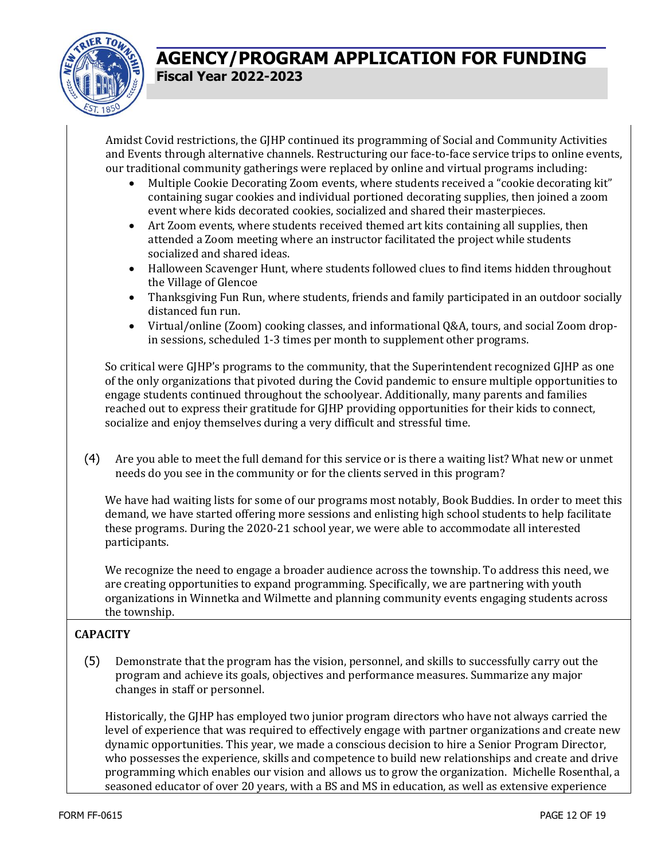

Amidst Covid restrictions, the GJHP continued its programming of Social and Community Activities and Events through alternative channels. Restructuring our face-to-face service trips to online events, our traditional community gatherings were replaced by online and virtual programs including:

- Multiple Cookie Decorating Zoom events, where students received a "cookie decorating kit" containing sugar cookies and individual portioned decorating supplies, then joined a zoom event where kids decorated cookies, socialized and shared their masterpieces.
- Art Zoom events, where students received themed art kits containing all supplies, then attended a Zoom meeting where an instructor facilitated the project while students socialized and shared ideas.
- Halloween Scavenger Hunt, where students followed clues to find items hidden throughout the Village of Glencoe
- Thanksgiving Fun Run, where students, friends and family participated in an outdoor socially distanced fun run.
- Virtual/online (Zoom) cooking classes, and informational Q&A, tours, and social Zoom dropin sessions, scheduled 1-3 times per month to supplement other programs.

So critical were GJHP's programs to the community, that the Superintendent recognized GJHP as one of the only organizations that pivoted during the Covid pandemic to ensure multiple opportunities to engage students continued throughout the schoolyear. Additionally, many parents and families reached out to express their gratitude for GJHP providing opportunities for their kids to connect, socialize and enjoy themselves during a very difficult and stressful time.

(4) Are you able to meet the full demand for this service or is there a waiting list? What new or unmet needs do you see in the community or for the clients served in this program?

We have had waiting lists for some of our programs most notably, Book Buddies. In order to meet this demand, we have started offering more sessions and enlisting high school students to help facilitate these programs. During the 2020-21 school year, we were able to accommodate all interested participants.

We recognize the need to engage a broader audience across the township. To address this need, we are creating opportunities to expand programming. Specifically, we are partnering with youth organizations in Winnetka and Wilmette and planning community events engaging students across the township.

### **CAPACITY**

(5) Demonstrate that the program has the vision, personnel, and skills to successfully carry out the program and achieve its goals, objectives and performance measures. Summarize any major changes in staff or personnel.

Historically, the GJHP has employed two junior program directors who have not always carried the level of experience that was required to effectively engage with partner organizations and create new dynamic opportunities. This year, we made a conscious decision to hire a Senior Program Director, who possesses the experience, skills and competence to build new relationships and create and drive programming which enables our vision and allows us to grow the organization. Michelle Rosenthal, a seasoned educator of over 20 years, with a BS and MS in education, as well as extensive experience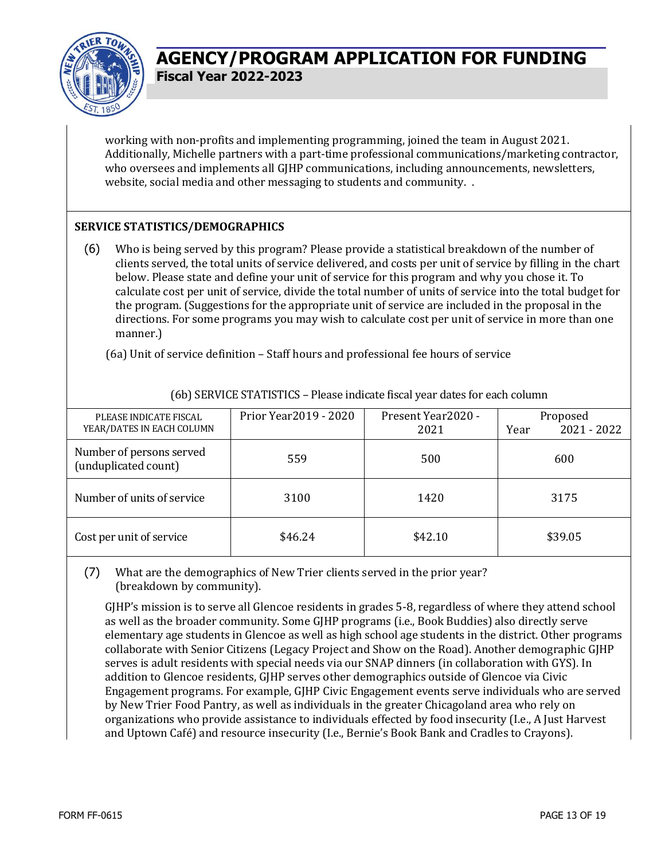

working with non-profits and implementing programming, joined the team in August 2021. Additionally, Michelle partners with a part-time professional communications/marketing contractor, who oversees and implements all GJHP communications, including announcements, newsletters, website, social media and other messaging to students and community. .

### **SERVICE STATISTICS/DEMOGRAPHICS**

(6) Who is being served by this program? Please provide a statistical breakdown of the number of clients served, the total units of service delivered, and costs per unit of service by filling in the chart below. Please state and define your unit of service for this program and why you chose it. To calculate cost per unit of service, divide the total number of units of service into the total budget for the program. (Suggestions for the appropriate unit of service are included in the proposal in the directions. For some programs you may wish to calculate cost per unit of service in more than one manner.)

(6a) Unit of service definition – Staff hours and professional fee hours of service

| PLEASE INDICATE FISCAL<br>YEAR/DATES IN EACH COLUMN | Prior Year 2019 - 2020 | Present Year2020 -<br>2021 | Proposed<br>2021 - 2022<br>Year |
|-----------------------------------------------------|------------------------|----------------------------|---------------------------------|
| Number of persons served<br>(unduplicated count)    | 559                    | 500                        | 600                             |
| Number of units of service                          | 3100                   | 1420                       | 3175                            |
| Cost per unit of service                            | \$46.24                | \$42.10                    | \$39.05                         |

(6b) SERVICE STATISTICS – Please indicate fiscal year dates for each column

### (7) What are the demographics of New Trier clients served in the prior year? (breakdown by community).

GJHP's mission is to serve all Glencoe residents in grades 5-8, regardless of where they attend school as well as the broader community. Some GJHP programs (i.e., Book Buddies) also directly serve elementary age students in Glencoe as well as high school age students in the district. Other programs collaborate with Senior Citizens (Legacy Project and Show on the Road). Another demographic GJHP serves is adult residents with special needs via our SNAP dinners (in collaboration with GYS). In addition to Glencoe residents, GJHP serves other demographics outside of Glencoe via Civic Engagement programs. For example, GJHP Civic Engagement events serve individuals who are served by New Trier Food Pantry, as well as individuals in the greater Chicagoland area who rely on organizations who provide assistance to individuals effected by food insecurity (I.e., A Just Harvest and Uptown Café) and resource insecurity (I.e., Bernie's Book Bank and Cradles to Crayons).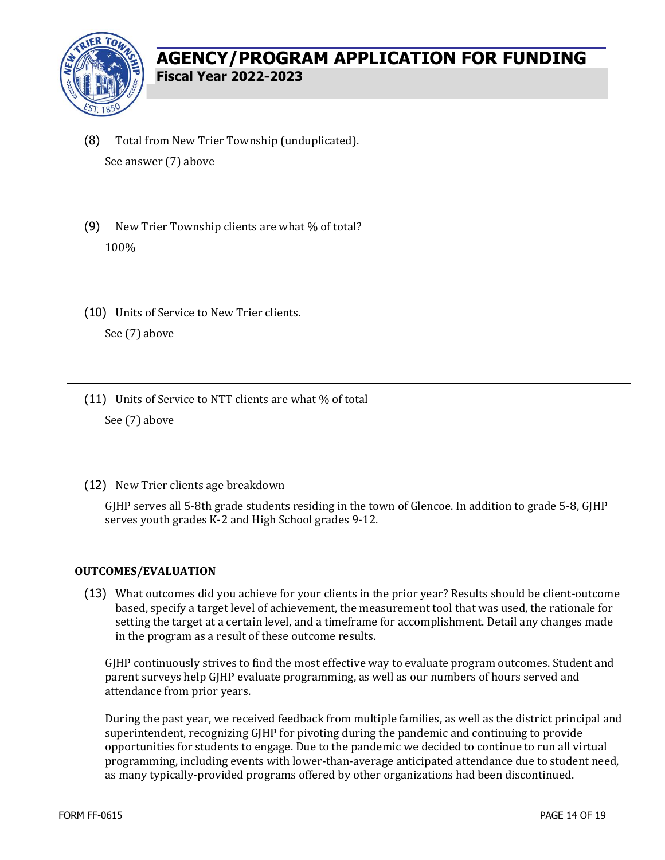

- (8) Total from New Trier Township (unduplicated). See answer (7) above
- (9) New Trier Township clients are what % of total? 100%
- (10) Units of Service to New Trier clients. See (7) above

(11) Units of Service to NTT clients are what % of total See (7) above

(12) New Trier clients age breakdown

GJHP serves all 5-8th grade students residing in the town of Glencoe. In addition to grade 5-8, GJHP serves youth grades K-2 and High School grades 9-12.

#### **OUTCOMES/EVALUATION**

(13) What outcomes did you achieve for your clients in the prior year? Results should be client-outcome based, specify a target level of achievement, the measurement tool that was used, the rationale for setting the target at a certain level, and a timeframe for accomplishment. Detail any changes made in the program as a result of these outcome results.

GJHP continuously strives to find the most effective way to evaluate program outcomes. Student and parent surveys help GJHP evaluate programming, as well as our numbers of hours served and attendance from prior years.

During the past year, we received feedback from multiple families, as well as the district principal and superintendent, recognizing GJHP for pivoting during the pandemic and continuing to provide opportunities for students to engage. Due to the pandemic we decided to continue to run all virtual programming, including events with lower-than-average anticipated attendance due to student need, as many typically-provided programs offered by other organizations had been discontinued.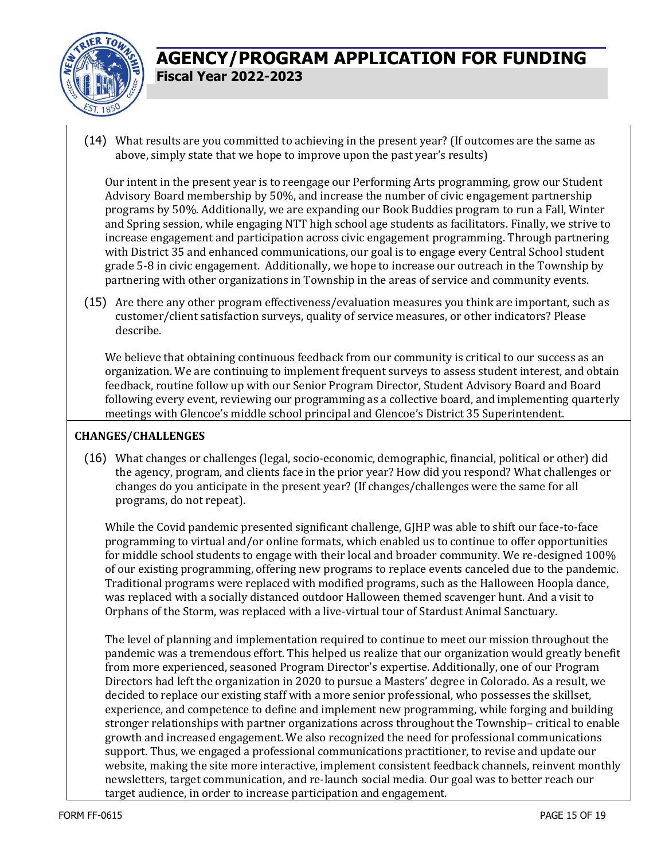

(14) What results are you committed to achieving in the present year? (If outcomes are the same as above, simply state that we hope to improve upon the past year's results)

Our intent in the present year is to reengage our Performing Arts programming, grow our Student Advisory Board membership by 50%, and increase the number of civic engagement partnership programs by 50%. Additionally, we are expanding our Book Buddies program to run a Fall, Winter and Spring session, while engaging NTT high school age students as facilitators. Finally, we strive to increase engagement and participation across civic engagement programming. Through partnering with District 35 and enhanced communications, our goal is to engage every Central School student grade 5-8 in civic engagement. Additionally, we hope to increase our outreach in the Township by partnering with other organizations in Township in the areas of service and community events.

(15) Are there any other program effectiveness/evaluation measures you think are important, such as customer/client satisfaction surveys, quality of service measures, or other indicators? Please describe.

We believe that obtaining continuous feedback from our community is critical to our success as an organization. We are continuing to implement frequent surveys to assess student interest, and obtain feedback, routine follow up with our Senior Program Director, Student Advisory Board and Board following every event, reviewing our programming as a collective board, and implementing quarterly meetings with Glencoe's middle school principal and Glencoe's District 35 Superintendent.

#### **CHANGES/CHALLENGES**

(16) What changes or challenges (legal, socio-economic, demographic, financial, political or other) did the agency, program, and clients face in the prior year? How did you respond? What challenges or changes do you anticipate in the present year? (If changes/challenges were the same for all programs, do not repeat).

While the Covid pandemic presented significant challenge, GJHP was able to shift our face-to-face programming to virtual and/or online formats, which enabled us to continue to offer opportunities for middle school students to engage with their local and broader community. We re-designed 100% of our existing programming, offering new programs to replace events canceled due to the pandemic. Traditional programs were replaced with modified programs, such as the Halloween Hoopla dance, was replaced with a socially distanced outdoor Halloween themed scavenger hunt. And a visit to Orphans of the Storm, was replaced with a live-virtual tour of Stardust Animal Sanctuary.

The level of planning and implementation required to continue to meet our mission throughout the pandemic was a tremendous effort. This helped us realize that our organization would greatly benefit from more experienced, seasoned Program Director's expertise. Additionally, one of our Program Directors had left the organization in 2020 to pursue a Masters' degree in Colorado. As a result, we decided to replace our existing staff with a more senior professional, who possesses the skillset, experience, and competence to define and implement new programming, while forging and building stronger relationships with partner organizations across throughout the Township– critical to enable growth and increased engagement. We also recognized the need for professional communications support. Thus, we engaged a professional communications practitioner, to revise and update our website, making the site more interactive, implement consistent feedback channels, reinvent monthly newsletters, target communication, and re-launch social media. Our goal was to better reach our target audience, in order to increase participation and engagement.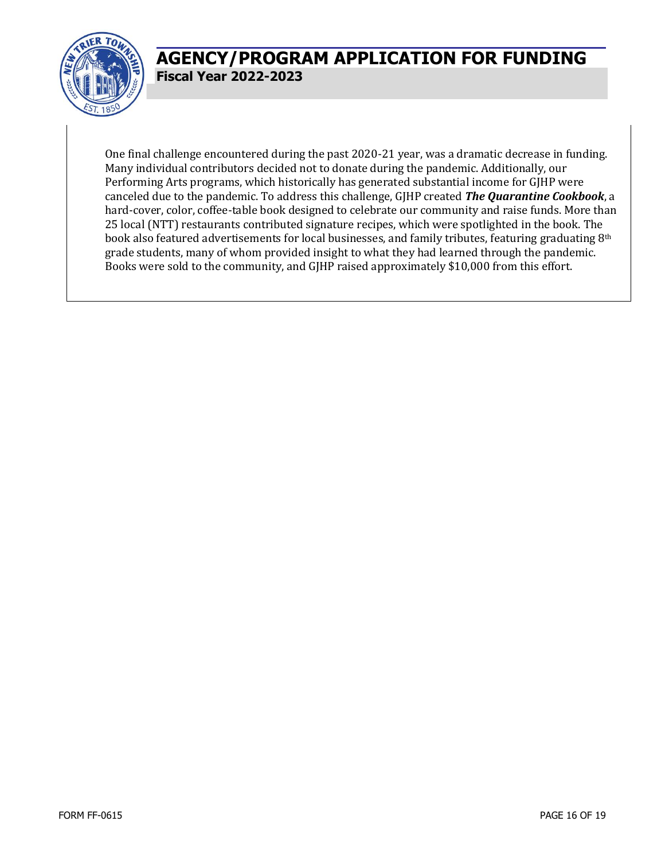

One final challenge encountered during the past 2020-21 year, was a dramatic decrease in funding. Many individual contributors decided not to donate during the pandemic. Additionally, our Performing Arts programs, which historically has generated substantial income for GJHP were canceled due to the pandemic. To address this challenge, GJHP created *The Quarantine Cookbook*, a hard-cover, color, coffee-table book designed to celebrate our community and raise funds. More than 25 local (NTT) restaurants contributed signature recipes, which were spotlighted in the book. The book also featured advertisements for local businesses, and family tributes, featuring graduating 8<sup>th</sup> grade students, many of whom provided insight to what they had learned through the pandemic. Books were sold to the community, and GJHP raised approximately \$10,000 from this effort.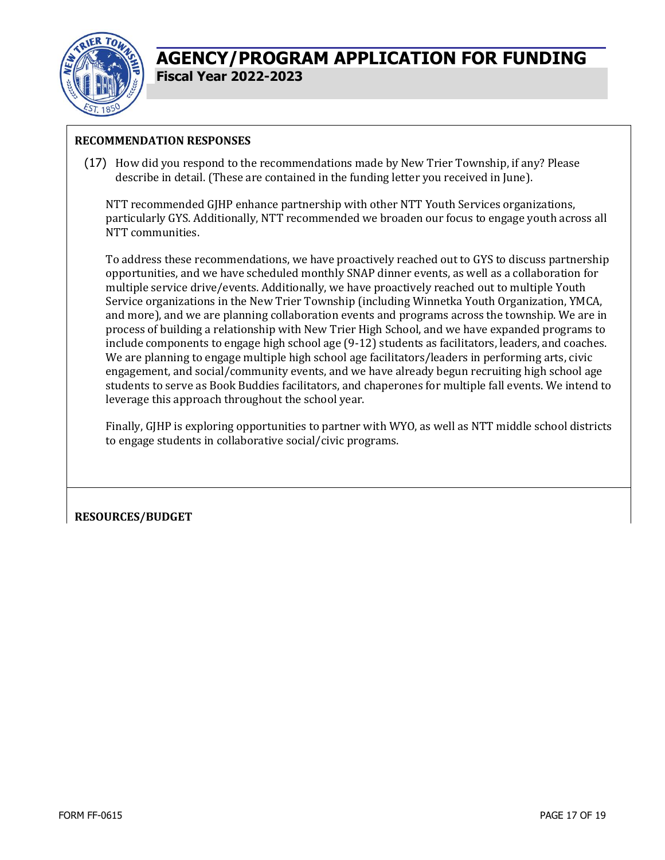

### **RECOMMENDATION RESPONSES**

(17) How did you respond to the recommendations made by New Trier Township, if any? Please describe in detail. (These are contained in the funding letter you received in June).

NTT recommended GJHP enhance partnership with other NTT Youth Services organizations, particularly GYS. Additionally, NTT recommended we broaden our focus to engage youth across all NTT communities.

To address these recommendations, we have proactively reached out to GYS to discuss partnership opportunities, and we have scheduled monthly SNAP dinner events, as well as a collaboration for multiple service drive/events. Additionally, we have proactively reached out to multiple Youth Service organizations in the New Trier Township (including Winnetka Youth Organization, YMCA, and more), and we are planning collaboration events and programs across the township. We are in process of building a relationship with New Trier High School, and we have expanded programs to include components to engage high school age (9-12) students as facilitators, leaders, and coaches. We are planning to engage multiple high school age facilitators/leaders in performing arts, civic engagement, and social/community events, and we have already begun recruiting high school age students to serve as Book Buddies facilitators, and chaperones for multiple fall events. We intend to leverage this approach throughout the school year.

Finally, GJHP is exploring opportunities to partner with WYO, as well as NTT middle school districts to engage students in collaborative social/civic programs.

### **RESOURCES/BUDGET**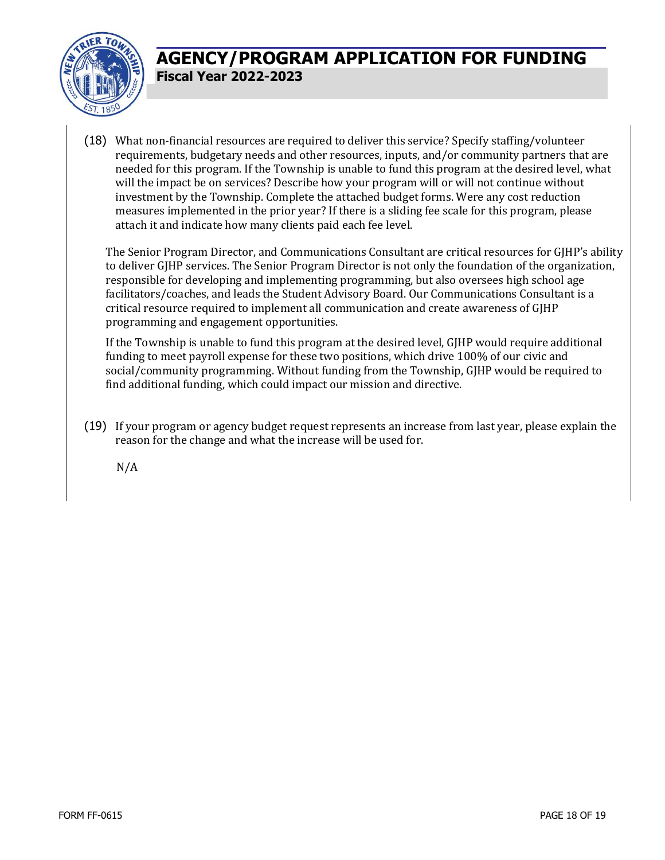

(18) What non-financial resources are required to deliver this service? Specify staffing/volunteer requirements, budgetary needs and other resources, inputs, and/or community partners that are needed for this program. If the Township is unable to fund this program at the desired level, what will the impact be on services? Describe how your program will or will not continue without investment by the Township. Complete the attached budget forms. Were any cost reduction measures implemented in the prior year? If there is a sliding fee scale for this program, please attach it and indicate how many clients paid each fee level.

The Senior Program Director, and Communications Consultant are critical resources for GJHP's ability to deliver GJHP services. The Senior Program Director is not only the foundation of the organization, responsible for developing and implementing programming, but also oversees high school age facilitators/coaches, and leads the Student Advisory Board. Our Communications Consultant is a critical resource required to implement all communication and create awareness of GJHP programming and engagement opportunities.

If the Township is unable to fund this program at the desired level, GJHP would require additional funding to meet payroll expense for these two positions, which drive 100% of our civic and social/community programming. Without funding from the Township, GJHP would be required to find additional funding, which could impact our mission and directive.

(19) If your program or agency budget request represents an increase from last year, please explain the reason for the change and what the increase will be used for.

N/A